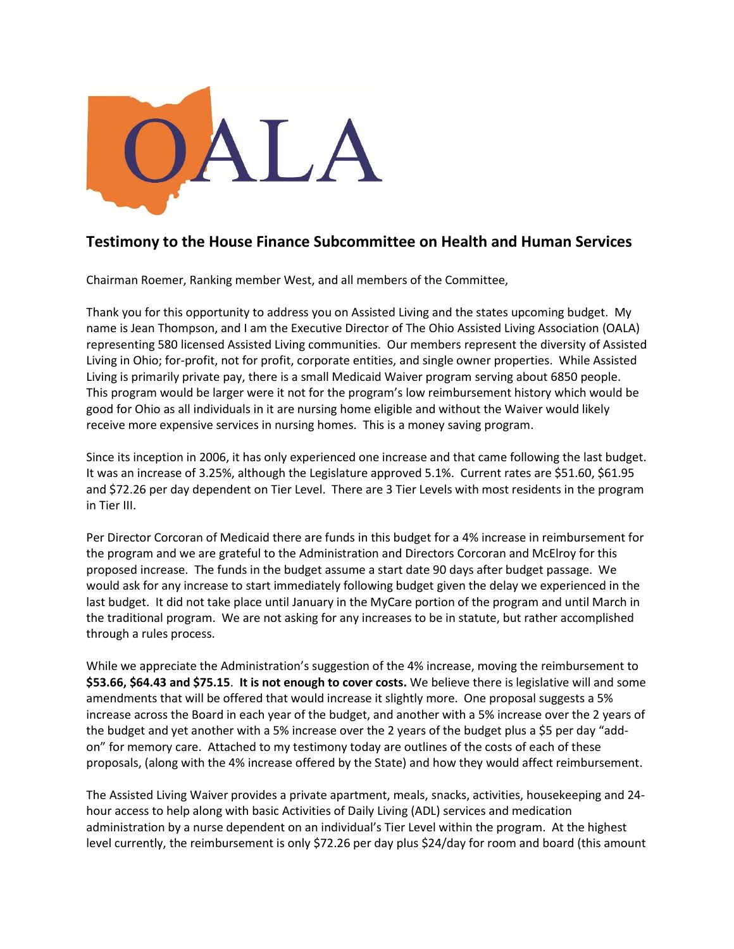

## **Testimony to the House Finance Subcommittee on Health and Human Services**

Chairman Roemer, Ranking member West, and all members of the Committee,

Thank you for this opportunity to address you on Assisted Living and the states upcoming budget. My name is Jean Thompson, and I am the Executive Director of The Ohio Assisted Living Association (OALA) representing 580 licensed Assisted Living communities. Our members represent the diversity of Assisted Living in Ohio; for-profit, not for profit, corporate entities, and single owner properties. While Assisted Living is primarily private pay, there is a small Medicaid Waiver program serving about 6850 people. This program would be larger were it not for the program's low reimbursement history which would be good for Ohio as all individuals in it are nursing home eligible and without the Waiver would likely receive more expensive services in nursing homes. This is a money saving program.

Since its inception in 2006, it has only experienced one increase and that came following the last budget. It was an increase of 3.25%, although the Legislature approved 5.1%. Current rates are \$51.60, \$61.95 and \$72.26 per day dependent on Tier Level. There are 3 Tier Levels with most residents in the program in Tier III.

Per Director Corcoran of Medicaid there are funds in this budget for a 4% increase in reimbursement for the program and we are grateful to the Administration and Directors Corcoran and McElroy for this proposed increase. The funds in the budget assume a start date 90 days after budget passage. We would ask for any increase to start immediately following budget given the delay we experienced in the last budget. It did not take place until January in the MyCare portion of the program and until March in the traditional program. We are not asking for any increases to be in statute, but rather accomplished through a rules process.

While we appreciate the Administration's suggestion of the 4% increase, moving the reimbursement to **\$53.66, \$64.43 and \$75.15**. **It is not enough to cover costs.** We believe there is legislative will and some amendments that will be offered that would increase it slightly more. One proposal suggests a 5% increase across the Board in each year of the budget, and another with a 5% increase over the 2 years of the budget and yet another with a 5% increase over the 2 years of the budget plus a \$5 per day "addon" for memory care. Attached to my testimony today are outlines of the costs of each of these proposals, (along with the 4% increase offered by the State) and how they would affect reimbursement.

The Assisted Living Waiver provides a private apartment, meals, snacks, activities, housekeeping and 24 hour access to help along with basic Activities of Daily Living (ADL) services and medication administration by a nurse dependent on an individual's Tier Level within the program. At the highest level currently, the reimbursement is only \$72.26 per day plus \$24/day for room and board (this amount